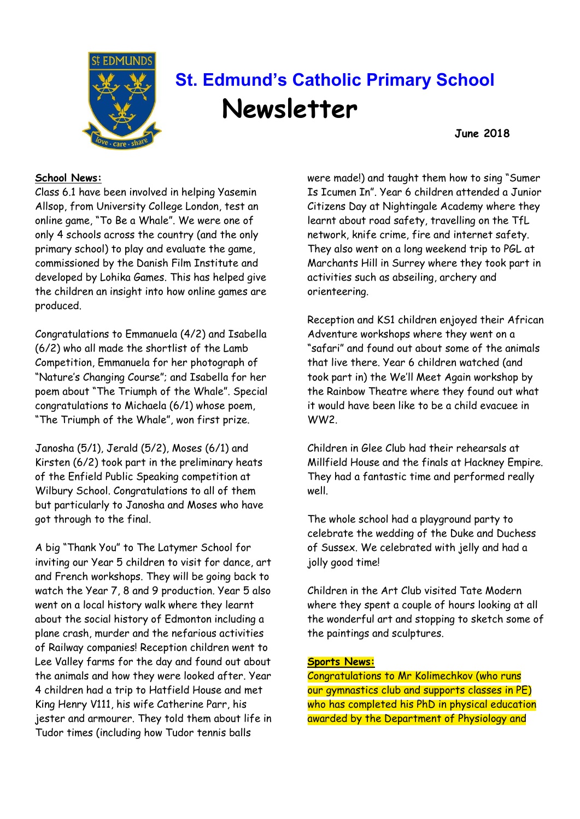

# **St. Edmund's Catholic Primary School Newsletter**

**June 2018**

#### **School News:**

Class 6.1 have been involved in helping Yasemin Allsop, from University College London, test an online game, "To Be a Whale". We were one of only 4 schools across the country (and the only primary school) to play and evaluate the game, commissioned by the Danish Film Institute and developed by Lohika Games. This has helped give the children an insight into how online games are produced.

Congratulations to Emmanuela (4/2) and Isabella (6/2) who all made the shortlist of the Lamb Competition, Emmanuela for her photograph of "Nature's Changing Course"; and Isabella for her poem about "The Triumph of the Whale". Special congratulations to Michaela (6/1) whose poem, "The Triumph of the Whale", won first prize.

Janosha (5/1), Jerald (5/2), Moses (6/1) and Kirsten (6/2) took part in the preliminary heats of the Enfield Public Speaking competition at Wilbury School. Congratulations to all of them but particularly to Janosha and Moses who have got through to the final.

A big "Thank You" to The Latymer School for inviting our Year 5 children to visit for dance, art and French workshops. They will be going back to watch the Year 7, 8 and 9 production. Year 5 also went on a local history walk where they learnt about the social history of Edmonton including a plane crash, murder and the nefarious activities of Railway companies! Reception children went to Lee Valley farms for the day and found out about the animals and how they were looked after. Year 4 children had a trip to Hatfield House and met King Henry V111, his wife Catherine Parr, his jester and armourer. They told them about life in Tudor times (including how Tudor tennis balls

were made!) and taught them how to sing "Sumer Is Icumen In". Year 6 children attended a Junior Citizens Day at Nightingale Academy where they learnt about road safety, travelling on the TfL network, knife crime, fire and internet safety. They also went on a long weekend trip to PGL at Marchants Hill in Surrey where they took part in activities such as abseiling, archery and orienteering.

Reception and KS1 children enjoyed their African Adventure workshops where they went on a "safari" and found out about some of the animals that live there. Year 6 children watched (and took part in) the We'll Meet Again workshop by the Rainbow Theatre where they found out what it would have been like to be a child evacuee in WW2.

Children in Glee Club had their rehearsals at Millfield House and the finals at Hackney Empire. They had a fantastic time and performed really well.

The whole school had a playground party to celebrate the wedding of the Duke and Duchess of Sussex. We celebrated with jelly and had a jolly good time!

Children in the Art Club visited Tate Modern where they spent a couple of hours looking at all the wonderful art and stopping to sketch some of the paintings and sculptures.

#### **Sports News:**

Congratulations to Mr Kolimechkov (who runs our gymnastics club and supports classes in PE) who has completed his PhD in physical education awarded by the Department of Physiology and